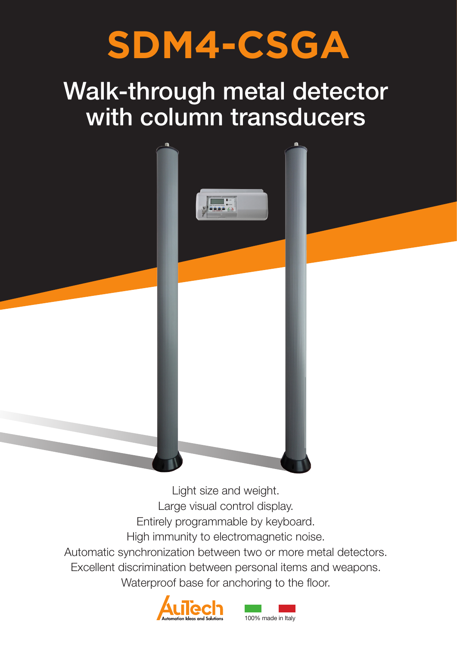# **SDM4-CSGA**

# Walk-through metal detector with column transducers



Light size and weight. Large visual control display. Entirely programmable by keyboard. High immunity to electromagnetic noise. Automatic synchronization between two or more metal detectors. Excellent discrimination between personal items and weapons. Waterproof base for anchoring to the floor.